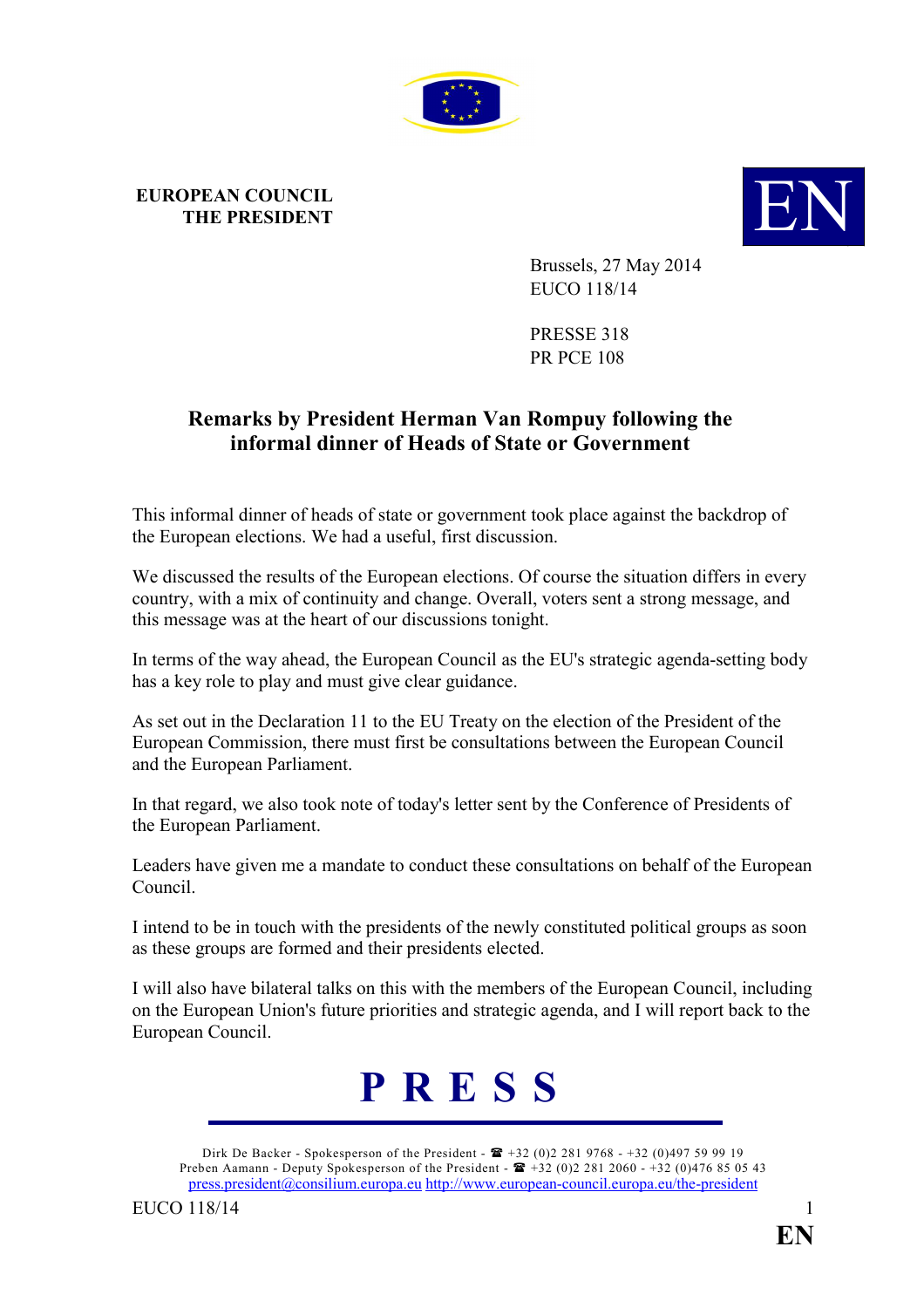

## **EUROPEAN COUNCIL**



Brussels, 27 May 2014 EUCO 118/14

PRESSE 318 PR PCE 108

## **Remarks by President Herman Van Rompuy following the informal dinner of Heads of State or Government**

This informal dinner of heads of state or government took place against the backdrop of the European elections. We had a useful, first discussion.

We discussed the results of the European elections. Of course the situation differs in every country, with a mix of continuity and change. Overall, voters sent a strong message, and this message was at the heart of our discussions tonight.

In terms of the way ahead, the European Council as the EU's strategic agenda-setting body has a key role to play and must give clear guidance.

As set out in the Declaration 11 to the EU Treaty on the election of the President of the European Commission, there must first be consultations between the European Council and the European Parliament.

In that regard, we also took note of today's letter sent by the Conference of Presidents of the European Parliament.

Leaders have given me a mandate to conduct these consultations on behalf of the European Council.

I intend to be in touch with the presidents of the newly constituted political groups as soon as these groups are formed and their presidents elected.

I will also have bilateral talks on this with the members of the European Council, including on the European Union's future priorities and strategic agenda, and I will report back to the European Council.



Dirk De Backer - Spokesperson of the President -  $\mathbf{F}$  +32 (0)2 281 9768 - +32 (0)497 59 99 19 Preben Aamann - Deputy Spokesperson of the President -  $\mathbf{\mathbb{E}}$  +32 (0)2 281 2060 - +32 (0)476 85 05 43 [press.president@consilium.europa.eu](mailto:press.president@consilium.europa.eu) <http://www.european-council.europa.eu/the-president>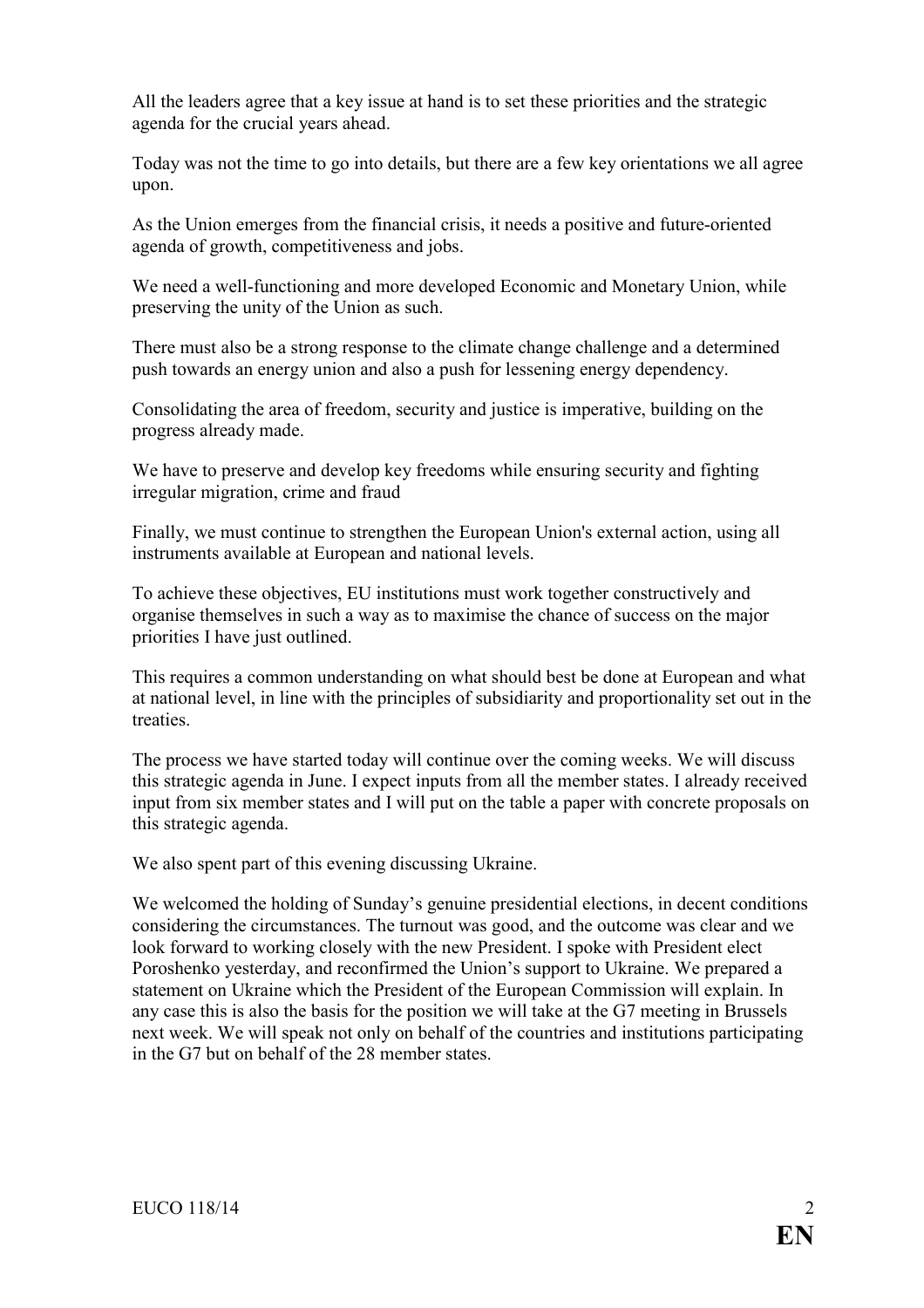All the leaders agree that a key issue at hand is to set these priorities and the strategic agenda for the crucial years ahead.

Today was not the time to go into details, but there are a few key orientations we all agree upon.

As the Union emerges from the financial crisis, it needs a positive and future-oriented agenda of growth, competitiveness and jobs.

We need a well-functioning and more developed Economic and Monetary Union, while preserving the unity of the Union as such.

There must also be a strong response to the climate change challenge and a determined push towards an energy union and also a push for lessening energy dependency.

Consolidating the area of freedom, security and justice is imperative, building on the progress already made.

We have to preserve and develop key freedoms while ensuring security and fighting irregular migration, crime and fraud

Finally, we must continue to strengthen the European Union's external action, using all instruments available at European and national levels.

To achieve these objectives, EU institutions must work together constructively and organise themselves in such a way as to maximise the chance of success on the major priorities I have just outlined.

This requires a common understanding on what should best be done at European and what at national level, in line with the principles of subsidiarity and proportionality set out in the treaties.

The process we have started today will continue over the coming weeks. We will discuss this strategic agenda in June. I expect inputs from all the member states. I already received input from six member states and I will put on the table a paper with concrete proposals on this strategic agenda.

We also spent part of this evening discussing Ukraine.

We welcomed the holding of Sunday's genuine presidential elections, in decent conditions considering the circumstances. The turnout was good, and the outcome was clear and we look forward to working closely with the new President. I spoke with President elect Poroshenko yesterday, and reconfirmed the Union's support to Ukraine. We prepared a statement on Ukraine which the President of the European Commission will explain. In any case this is also the basis for the position we will take at the G7 meeting in Brussels next week. We will speak not only on behalf of the countries and institutions participating in the G7 but on behalf of the 28 member states.